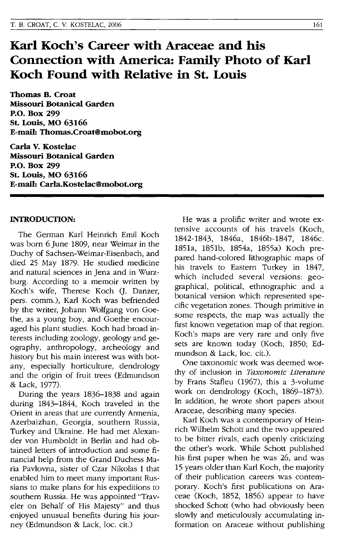# **Karl Koch's Career with Araceae and his Connection with America: Family Photo of Karl Koch Found with Relative in St. Louis**

**Thomas B. Croat Missouri Botanical Garden P.o. Box 299 St. Louis, MO 63166 E-mail: Thomas.Croat@mobot.org** 

**Carla V. Kostelac Missouri Botanical Garden P.o. Box 299 St. Louis, MO 63166 E-mail: Carla.Kostelac@mobot.org** 

### **INTRODUCTION:**

The German Karl Heinrich Emil Koch was born 6 June 1809, near Weimar in the Duchy of Sachsen-Weimar-Eisenbach, and died 25 May 1879. He studied medicine and natural sciences in Jena and in Wurzburg. According to a memoir written by Koch's wife, Therese Koch (J. Danzer, pers. comm.), Karl Koch was befriended by the writer, Johann Wolfgang von Goethe, as a young boy, and Goethe encouraged his plant studies. Koch had broad interests including zoology, geology and geography, anthropology, archeology and history but his main interest was with botany, especially horticulture, dendrology and the origin of fruit trees (Edmundson & Lack, 1977).

During the years 1836-1838 and again during 1843-1844, Koch traveled in the Orient in areas that are currently Armenia, Azerbaizhan, Georgia, southern Russia, Turkey and Ukraine. He had met Alexander von Humboldt in Berlin and had obtained letters of introduction and some financial help from the Grand Duchess Maria Pavlovna, sister of Czar Nikolas I that enabled him to meet many important Russians to make plans for his expeditions to southern Russia. He was appointed "Traveler on Behalf of His Majesty" and thus enjoyed unusual benefits during his journey (Edmundson & Lack, loc. cit.)

He was a prolific writer and wrote extensive accounts of his travels (Koch, 1842-1843, 1846a, 1846b-1847, 1846c. 1851a, 1851b, 1854a, 1855a) Koch prepared hand-colored lithographic maps of his travels to Eastern Turkey in 1847, which included several versions: geographical, political, ethnographic and a botanical version which represented specific vegetation zones. Though primitive in some respects, the map was actually the first known vegetation map of that region. Koch's maps are very rare and only five sets are known today (Koch, 1850; Edmundson & Lack, loc. cit.).

One taxonomic work was deemed worthy of inclusion in *Taxonomic Literature*  by Frans Stafleu (1967), this a 3-volume work on dendrology (Koch, 1869-1873). In addition, he wrote short papers about Araceae, describing many species.

Karl Koch was a contemporary of Heinrich Wilhelm Schott and the two appeared to be bitter rivals, each openly criticizing the other's work. While Schott published his first paper when he was 26, and was 15 years older than Karl Koch, the majority of their publication careers was contemporary. Koch's first publications on Araceae (Koch, 1852, 1856) appear to have shocked Schott (who had obviously been slowly and meticulously accumulating information on Araceae without publishing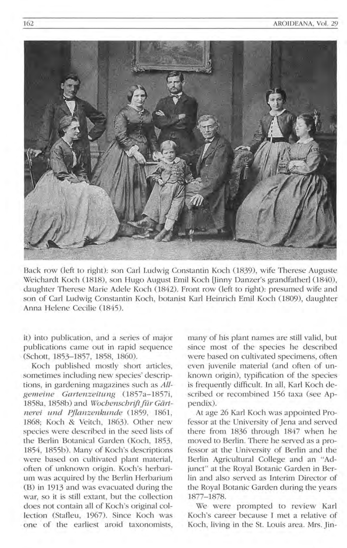

Back row (left to right): son Carl Ludwig Constantin Koch (1839), wife Therese Auguste Weichardt Koch (1818), son Hugo August Emil Koch [Jinny Danzer's grandfather] (1840), daughter Therese Marie Adele Koch (1842). Front row (left to right): presumed wife and son of Carl Ludwig Constantin Koch, botanist Karl Heinrich Emil Koch (1809), daughter Anna Helene Cecilie (1845).

it) into publication, and a series of major publications came out in rapid sequence (Schott, 1853-1857, 1858, 1860).

Koch published mostly short articles, sometimes including new species' descriptions, in gardening magazines such as *All*gemeine Gartenzeitung (1857a-1857i, 1858a, 1858b) and *Wochenschrift für Gärtnerei u nd Pflanzenkunde* (1859, 1861, 1868; Koch & Veitch, 1863). Other new species were described in the seed lists of the Berlin Botanical Garden (Koch, 1853, 1854, 1855b). Many of Koch's descriptions were based on cultivated plant material, often of unknown origin. Koch's herbarium was acquired by the Berlin Herbarium (B) in 1913 and was evacuated during the war, so it is still extant, but the collection does not contain all of Koch's original collection (Stafleu, 1967). Since Koch was one of the earliest aroid taxonomists,

many of his plant names are still valid, but since most of the species he described were based on cultivated specimens, often even juvenile material (and often of unknown origin), typification of the species is frequently difficult. In all, Karl Koch described or recombined 156 taxa (see Appendix).

At age 26 Karl Koch was appointed Professor at the University of Jena and served there from 1836 through 1847 when he moved to Berlin. There he served as a professor at the University of Berlin and the Berlin Agricultural College and an "Adjunct" at the Royal Botanic Garden in Berlin and also served as Interim Director of the Royal Botanic Garden during the years 1877-1878.

We were prompted to review Karl Koch's career because I met a relative of Koch, living in the St. Louis area. Mrs. Jin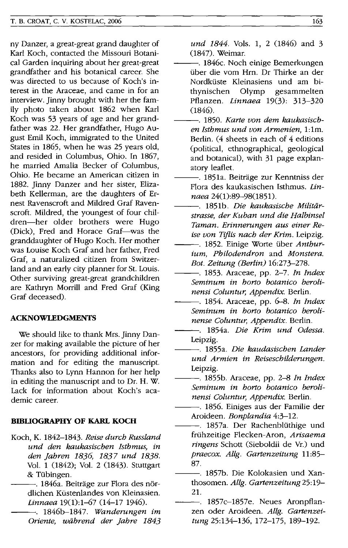ny Danzer, a great-great grand daughter of Karl Koch, contacted the Missouri Botanical Garden inquiring about her great-great grandfather and his botanical career. She was directed to us because of Koch's interest in the Araceae, and came in for an interview. Jinny brought with her the family photo taken about 1862 when Karl Koch was 53 years of age and her grandfather was 22. Her grandfather, Hugo August Emil Koch, immigrated to the United States in 1865, when he was 25 years old, and resided in Columbus, Ohio. In 1867, he married Amalia Becker of Columbus, Ohio. He became an American citizen in 1882. Jinny Danzer and her sister, Elizabeth Kellerman, are the daughters of Ernest Ravenscroft and Mildred Graf Ravenscroft. Mildred, the youngest of four children-her older brothers were Hugo (Dick), Fred and Horace Graf-was the granddaughter of Hugo Koch. Her mother was Louise Koch Graf and her father, Fred Graf, a naturalized citizen from Switzerland and an early city planner for St. Louis. Other surviving great-great grandchildren are Kathryn Morrill and Fred Graf (King Graf deceased).

## **ACKNOWLEDGMENTS**

We should like to thank Mrs. Jinny Danzer for making available the picture of her ancestors, for providing additional information and for editing the manuscript. Thanks also to Lynn Hannon for her help in editing the manuscript and to Dr. H. W. Lack for information about Koch's academic career.

# **BIBLIOGRAPHY OF KARL KOCH**

- Koch, K. 1842-1843. *Reise durch Russland und den kaukasischen Isthmus, in den Jahren* 1836, 1837 *und 1838.*  Vol. 1 (1842); Vol. 2 (1843). Stuttgart & Tübingen.
	- -. 1846a. Beiträge zur Flora des nördlichen Küstenlandes von Kleinasien. *Linnaea* 19(1):1-67 (14-17 1946).

---. 1846b-1847. *Wanderungen im Oriente, wiihrend der Jahre 1843* 

*und* 1844. Vols. 1, 2 (1846) and 3 (1847). Weimar.

- -. 1846c. Noch einige Bemerkungen über die vom Hrn. Dr Thirke an der Nordküste Kleinasiens und am bithynischen Olymp gesammelten Pflanzen. *Linnaea* 19(3): 313-320 (1846).
- ---. 1850. *Karte von dem kaukasischen Isthmus und von Armenien,* 1: 1m. Berlin. (4 sheets in each of 4 editions (political, ethnographical, geological and botanical), with 31 page explanatory leaflet.
- -. 1851a. Beiträge zur Kenntniss der Flora des kaukasischen Isthmus. *Linnaea 24(1):89-98(1851).*
- ---. 1851b. *Die kaukasische Militiirstrasse, der Kuban und die Halbinsel Taman. Erinnerungen aus einer Reise von Tiflis nach der Krim.* Leipzig.
- -. 1852. Einige Worte über Anthur*ium, Philodendron* and *Monstera. Bot. Zeitung (Berlin) 16:273-278.*
- ---. 1853. Araceae, pp. 2-7. *In Index Seminum in horto botanico berolinensi Coluntur, Appendix.* Berlin.
- ---. 1854. Araceae, pp. 6-8. *In Index Seminum in horto botanico berolinense Coluntur, Appendix.* Berlin.
- ---. 1854a. *Die Krim und Odessa.*  Leipzig.
- ---. 1855a. *Die kaudasischen Lander und Armien in Reiseschilderungen.*  Leipzig.
- ---. 1855b. Araceae, pp. 2-8 *In Index Seminum in horto botanico berolinensi Coluntur, Appendix.* Berlin.
	- 1856. Einiges aus der Familie der Aroideen. *Bonplandia 4:3-12.*
- -. 1857a. Der Rachenblüthige und frühzeitige Flecken-Aron, Arisaema *ringens* Schott (Sieboldii de Vr.) und *praecox. Allg. Gartenzeitung 11:85-* 87.
- ---. 1857b. Die Kolokasien und Xanthosomen. *AUg. Gartenzeitung* 25: 19- 21.
- ---. 1857c-1857e. Neues Aronpflanzen oder Aroideen. *AUg. Gartenzeitung* 25:134-136, 172-175, 189-192.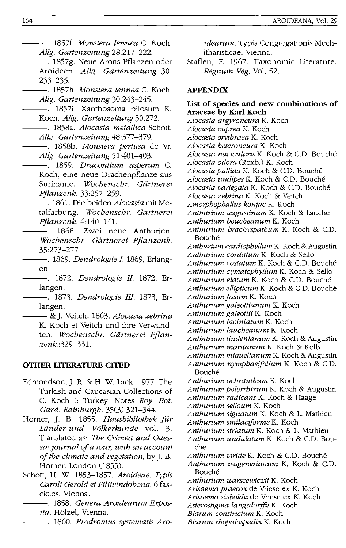- ---. 1857f. *Monstera lennea* C. Koch. *Allg. Gartenzeitung 28:217-222.*
- -----. 1857g. Neue Arons Pflanzen oder Aroideen. *AUg. Gartenzeitung 30:*  233-235.
	- ---. 1857h. *Monstera lennea* C. Koch. *Allg. Gartenzeitung 30:243-245.*
	- -- 1857i. Xanthosoma pilosum K. Koch. *AUg. Gartenzeitung 30:272.*
- ---. 1858a. *Alocasia metallica* Schott. *Allg. Gartenzeitung 48:377-379.* 
	- ---. 1858b. *Monstera pertusa* de Vr. *Allg. Gartenzeitung 51:401-403.*
- ---. 1859. *Dracontium asperum* C. Koch, eine neue Drachenpflanze aus Suriname. *Wochenschr. Gdrtnerei Pjlanzenk. 33:257-259.* 
	- ---. 1861. Die beiden *Alocasia* mit Metalfarbung. *Wochenschr. Gdrtnerei Pjlanzenk.4:140-14l.*
- 1868. Zwei neue Anthurien. *Wochenschr. Gdrtnerei Pjlanzenk.*  35:273-277.
- ---. 1869. *Dendrologie I.* 1869, Erlangen.
- ---. 1872. *Dendrologie II.* 1872, Erlangen.
- ---. 1873. *Dendrologie III.* 1873, Erlangen.
	- ---& J. Veitch. 1863. *Alocasia zebrina*  K. Koch et Veitch und ihre Verwandten. *Wochenschr. Gdrtnerei Pjlanzenk. :329-331.*

#### **OTHER UTERATURE CITED**

- Edmondson, J. R. & H. W. Lack. 1977. The Turkish and Caucasian Collections of C. Koch I: Turkey. Notes *Roy. Bot. Gard. Edinburgh. 35(3):321-344.*
- Horner, J. B. 1855. *Hausbibliothek Jilr Ldnder-und V6lkerkunde* vol. 3. Translated as: *The Crimea and Odessa: journal oj a tour, with an account oj the climate and vegetation,* by]. B. Horner. London (1855).
- Schott, H. W. 1853-1857. *Aroideae. TYPis Caroli Gerold et Filiivindobona,* 6 fascicles. Vienna.
	- ---. 1858. *Genera Aroidearum Exposita.* Holzel, Vienna.
	- ---. 1860. *Prodromus systematis Aro-*

*idearum.* Typis Congregationis Mechitharisticae, Vienna.

Stafleu, F. 1967. Taxonomic Literature. *Regnum Veg.* Vol. 52.

## **APPENDIX**

# **list of species and new combinations of Araceae by Karl Koch**

*Alocasia argyroneura* K. Koch *Alocasia cuprea* K. Koch *Alocasia erytbraea* K. Koch *Alocasia beteroneura* K. Koch *Alocasia navicularis* K. Koch & C.D. Bouche *Alocasia odora* CRoxb.) K. Koch *Alocasia pallida* K. Koch & C.D. Bouche *Alocasia undipes* K. Koch & C.D. Bouche *Alocasia variegata* K. Koch & C.D. Bouche *Alocasia zebrina* K. Koch & Veitch *Amorpbopballus konjac* K. Koch *Antburium augustinum* K. Koch & Lauche *Antburium boucbeanum* K. Koch *Antburium bracbyspatbum* K. Koch & C.D. Bouche *Antburium cardiopbyllum* K. Koch & Augustin *Antburium cordatum* K. Koch & Sello *Antburium costa tum* K. Koch & C.D. Bouche *Antburium cymatopbyllum* K. Koch & Sello *Antburium elatum* K. Koch & C.D. Bouche *Antburium ellipticum* K. Koch & C.D. Bouche *Antburium fissum* K. Koch *Antburium galeottianum* K. Koch *Antburium galeottii* K. Koch *Antburium laciniatum* K. Koch *Antburium laucbeanum* K. Koch *Antburium lindenianum* K. Koch & Augustin *Antburium martianum* K. Koch & Kolb *Antburium miquelianum* K. Koch & Augustin *Antburium nympbaeifolium* K. Koch & C.D. Bouche *Antburium ocbrantbum* K. Koch *Antburium polyrrbizum* K. Koch & Augustin *Antburium radicans* K. Koch & Haage *Antburium selloum* K. Koch *Antburium signatum* K. Koch & L. Mathieu *Antburium smilaciforme* K. Koch *Antburium striatum* K. Koch & L. Mathieu *Antburium undulatum* K. Koch & C.D. Bouché

- *Antburium viride* K. Koch & C.D. Bouche
- *Antburium wagenerianum* K. Koch & C.D. Bouche
- *Antburium warscewiczii* K. Koch
- *Arisaema praecox* de Vriese ex K. Koch
- *Arisaema sieboldii* de Vriese ex K. Koch
- *Asterostigma langsdoiffii* K. Koch
- *Biarum constrictum* K. Koch
- *Biarum rbopalospadix* K. Koch